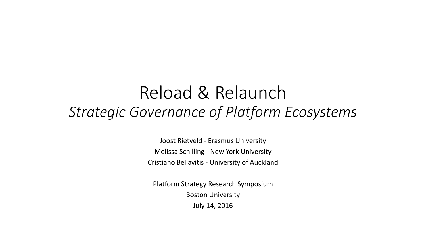#### Reload & Relaunch *Strategic Governance of Platform Ecosystems*

Joost Rietveld - Erasmus University Melissa Schilling - New York University Cristiano Bellavitis - University of Auckland

Platform Strategy Research Symposium Boston University

July 14, 2016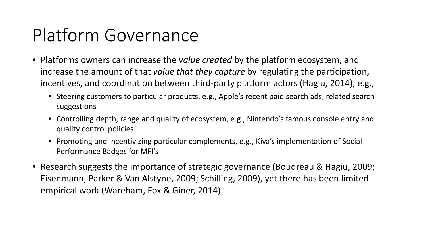# Platform Governance

- Platforms owners can increase the *value created* by the platform ecosystem, and increase the amount of that *value that they capture* by regulating the participation, incentives, and coordination between third-party platform actors (Hagiu, 2014), e.g.,
	- Steering customers to particular products, e.g., Apple's recent paid search ads, related search suggestions
	- Controlling depth, range and quality of ecosystem, e.g., Nintendo's famous console entry and quality control policies
	- Promoting and incentivizing particular complements, e.g., Kiva's implementation of Social Performance Badges for MFI's
- Research suggests the importance of strategic governance (Boudreau & Hagiu, 2009; Eisenmann, Parker & Van Alstyne, 2009; Schilling, 2009), yet there has been limited empirical work (Wareham, Fox & Giner, 2014)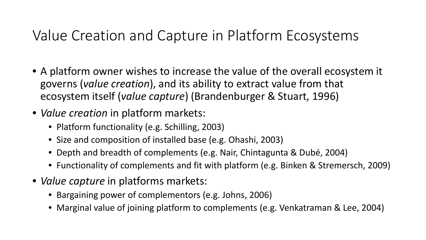#### Value Creation and Capture in Platform Ecosystems

- A platform owner wishes to increase the value of the overall ecosystem it governs (*value creation*), and its ability to extract value from that ecosystem itself (*value capture*) (Brandenburger & Stuart, 1996)
- *Value creation* in platform markets:
	- Platform functionality (e.g. Schilling, 2003)
	- Size and composition of installed base (e.g. Ohashi, 2003)
	- Depth and breadth of complements (e.g. Nair, Chintagunta & Dubé, 2004)
	- Functionality of complements and fit with platform (e.g. Binken & Stremersch, 2009)
- *Value capture* in platforms markets:
	- Bargaining power of complementors (e.g. Johns, 2006)
	- Marginal value of joining platform to complements (e.g. Venkatraman & Lee, 2004)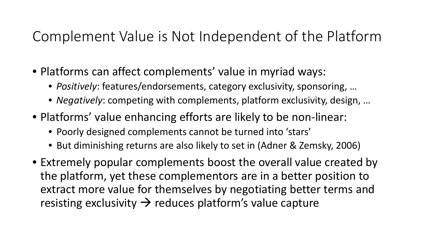#### Complement Value is Not Independent of the Platform

- Platforms can affect complements' value in myriad ways:
	- *Positively*: features/endorsements, category exclusivity, sponsoring, …
	- *Negatively*: competing with complements, platform exclusivity, design, …
- Platforms' value enhancing efforts are likely to be non-linear:
	- Poorly designed complements cannot be turned into 'stars'
	- But diminishing returns are also likely to set in (Adner & Zemsky, 2006)
- Extremely popular complements boost the overall value created by the platform, yet these complementors are in a better position to extract more value for themselves by negotiating better terms and resisting exclusivity  $\rightarrow$  reduces platform's value capture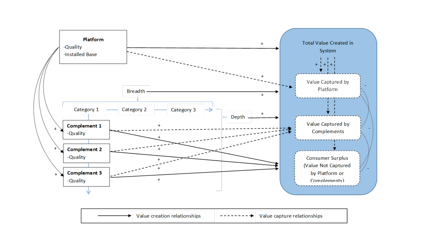

Value creation relationships Value capture relationships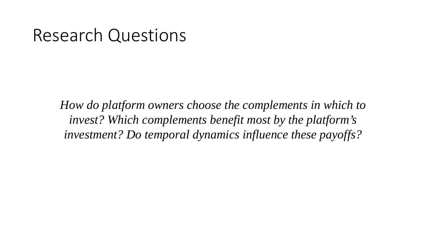#### Research Questions

*How do platform owners choose the complements in which to invest? Which complements benefit most by the platform's investment? Do temporal dynamics influence these payoffs?*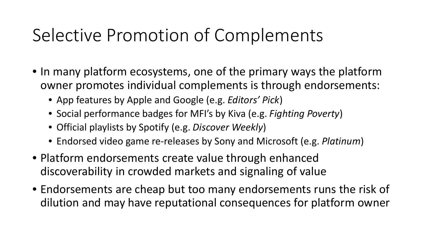### Selective Promotion of Complements

- In many platform ecosystems, one of the primary ways the platform owner promotes individual complements is through endorsements:
	- App features by Apple and Google (e.g. *Editors' Pick*)
	- Social performance badges for MFI's by Kiva (e.g. *Fighting Poverty*)
	- Official playlists by Spotify (e.g. *Discover Weekly*)
	- Endorsed video game re-releases by Sony and Microsoft (e.g. *Platinum*)
- Platform endorsements create value through enhanced discoverability in crowded markets and signaling of value
- Endorsements are cheap but too many endorsements runs the risk of dilution and may have reputational consequences for platform owner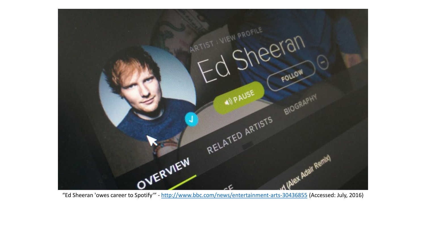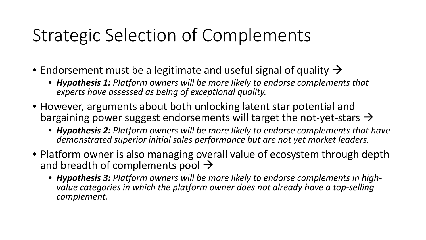## Strategic Selection of Complements

- Endorsement must be a legitimate and useful signal of quality  $\rightarrow$ 
	- *Hypothesis 1: Platform owners will be more likely to endorse complements that experts have assessed as being of exceptional quality.*
- However, arguments about both unlocking latent star potential and bargaining power suggest endorsements will target the not-yet-stars  $\rightarrow$ 
	- *Hypothesis 2: Platform owners will be more likely to endorse complements that have demonstrated superior initial sales performance but are not yet market leaders.*
- Platform owner is also managing overall value of ecosystem through depth and breadth of complements pool  $\rightarrow$ 
	- *Hypothesis 3: Platform owners will be more likely to endorse complements in high- value categories in which the platform owner does not already have a top-selling complement.*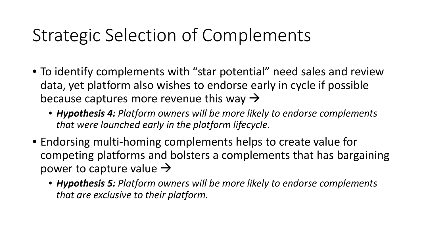## Strategic Selection of Complements

- To identify complements with "star potential" need sales and review data, yet platform also wishes to endorse early in cycle if possible because captures more revenue this way  $\rightarrow$ 
	- *Hypothesis 4: Platform owners will be more likely to endorse complements that were launched early in the platform lifecycle.*
- Endorsing multi-homing complements helps to create value for competing platforms and bolsters a complements that has bargaining power to capture value  $\rightarrow$ 
	- *Hypothesis 5: Platform owners will be more likely to endorse complements that are exclusive to their platform.*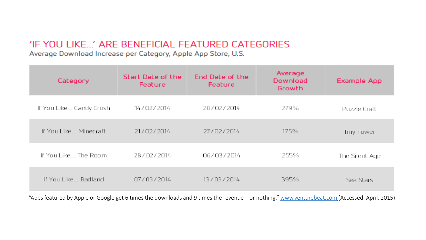#### 'IF YOU LIKE...' ARE BENEFICIAL FEATURED CATEGORIES

Average Download Increase per Category, Apple App Store, U.S.

| Category                | Start Date of the<br>Feature | End Date of the<br>Feature | Average<br>Download<br>Growth | Example App    |
|-------------------------|------------------------------|----------------------------|-------------------------------|----------------|
| If You Like Candy Crush | 14/02/2014                   | 20/02/2014                 | 279%                          | Puzzle Craft   |
| If You Like Minecraft   | 21/02/2014                   | 27/02/2014                 | 175%                          | Tiny Tower     |
| If You Like The Room-   | 28/02/2014                   | 06/03/2014                 | 255%                          | The Silent Age |
| If You Like Badland.    | 07/03/2014                   | 13/03/2014                 | 395%                          | Sea Stars      |

"Apps featured by Apple or Google get 6 times the downloads and 9 times the revenue – or nothing." [www.venturebeat.com](http://www.venturebeat.com/) (Accessed: April, 2015)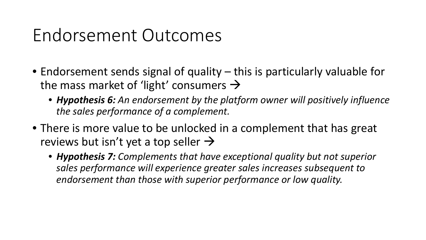#### Endorsement Outcomes

- Endorsement sends signal of quality this is particularly valuable for the mass market of 'light' consumers  $\rightarrow$ 
	- *Hypothesis 6: An endorsement by the platform owner will positively influence the sales performance of a complement.*
- There is more value to be unlocked in a complement that has great reviews but isn't yet a top seller  $\rightarrow$ 
	- *Hypothesis 7: Complements that have exceptional quality but not superior sales performance will experience greater sales increases subsequent to endorsement than those with superior performance or low quality.*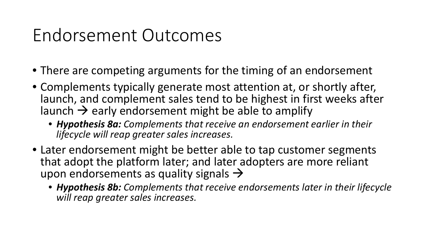### Endorsement Outcomes

- There are competing arguments for the timing of an endorsement
- Complements typically generate most attention at, or shortly after, launch, and complement sales tend to be highest in first weeks after launch  $\rightarrow$  early endorsement might be able to amplify
	- *Hypothesis 8a: Complements that receive an endorsement earlier in their lifecycle will reap greater sales increases.*
- Later endorsement might be better able to tap customer segments that adopt the platform later; and later adopters are more reliant upon endorsements as quality signals  $\rightarrow$ 
	- *Hypothesis 8b: Complements that receive endorsements later in their lifecycle will reap greater sales increases.*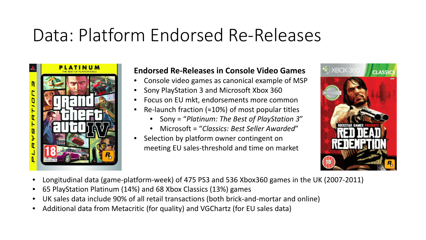#### Data: Platform Endorsed Re-Releases



#### **Endorsed Re-Releases in Console Video Games**

- Console video games as canonical example of MSP
- Sony PlayStation 3 and Microsoft Xbox 360
- Focus on EU mkt, endorsements more common
- Re-launch fraction ( $\approx$ 10%) of most popular titles
	- Sony = "*Platinum: The Best of PlayStation 3*"
	- Microsoft = "*Classics: Best Seller Awarded*"
- Selection by platform owner contingent on meeting EU sales-threshold and time on market



- Longitudinal data (game-platform-week) of 475 PS3 and 536 Xbox360 games in the UK (2007-2011)
- 65 PlayStation Platinum (14%) and 68 Xbox Classics (13%) games
- UK sales data include 90% of all retail transactions (both brick-and-mortar and online)
- Additional data from Metacritic (for quality) and VGChartz (for EU sales data)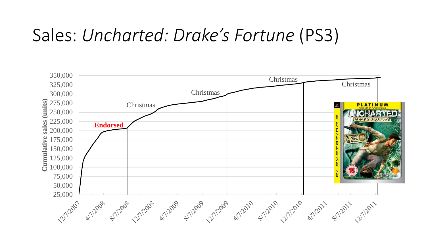#### Sales: *Uncharted: Drake's Fortune* (PS3)

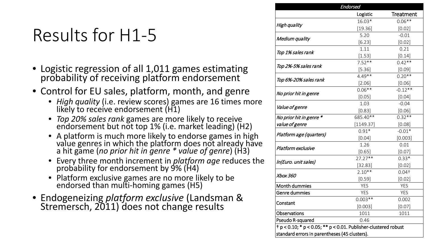# Results for H1-5

- Logistic regression of all 1,011 games estimating probability of receiving platform endorsement
- Control for EU sales, platform, month, and genre
	- *High quality* (i.e. review scores) games are 16 times more likely to receive endorsement (H1)
	- *Top 20% sales rank* games are more likely to receive endorsement but not top 1% (i.e. market leading) (H2)
	- A platform is much more likely to endorse games in high value genres in which the platform does not already have a hit game (*no prior hit in genre \* value of genre*) (H3)
	- Every three month increment in *platform age* reduces the probability for endorsement by 9% (H4)
	- Platform exclusive games are no more likely to be endorsed than multi-homing games (H5)
- Endogeneizing *platform exclusive* (Landsman & Stremersch, 2011) does not change results

|                           | <b>Endorsed</b> |                  |
|---------------------------|-----------------|------------------|
|                           | Logistic        | <b>Treatment</b> |
| High quality              | 16.03*          | $0.06**$         |
|                           | [19.36]         | [0.02]           |
|                           | 5.20            | $-0.01$          |
| Medium quality            | [6.23]          | [0.02]           |
| Top 1% sales rank         | 1.11            | 0.21             |
|                           | [1.53]          | [0.14]           |
|                           | $7.52**$        | $0.42**$         |
| Top 2%-5% sales rank      | $[5.36]$        | [0.09]           |
|                           | $4.49**$        | $0.20**$         |
| Top 6%-20% sales rank     | $[2.06]$        | [0.06]           |
|                           | $0.06**$        | $-0.12**$        |
| No prior hit in genre     | [0.05]          | [0.04]           |
|                           | 1.03            | $-0.04$          |
| <i>Value of genre</i>     | [0.83]          | [0.06]           |
| No prior hit in genre *   | 685.40**        | $0.32**$         |
| value of genre            | [1149.37]       | [0.08]           |
|                           | $0.91*$         | $-0.01*$         |
| Platform age (quarters)   | [0.04]          | [0.003]          |
| <b>Platform exclusive</b> | 1.26            | 0.01             |
|                           | [0.65]          | [0.07]           |
|                           | $27.27**$       | $0.33*$          |
| In(Euro. unit sales)      | [32.83]         | [0.02]           |
| Xbox 360                  | $2.10**$        | $0.04+$          |
|                           | [0.59]          | [0.02]           |
| Month dummies             | YES             | <b>YES</b>       |
| Genre dummies             | <b>YES</b>      | <b>YES</b>       |
|                           | $0.003**$       | 0.002            |
| Constant                  | [0.003]         | $[0.07]$         |
| Observations              | 1011            | 1011             |
|                           | 0.46            |                  |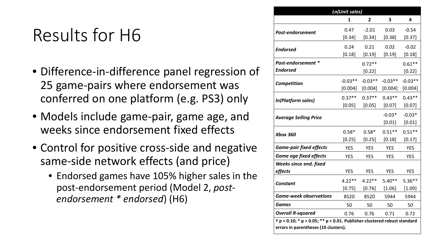#### Results for H6

- Difference-in-difference panel regression of 25 game-pairs where endorsement was conferred on one platform (e.g. PS3) only
- Models include game-pair, game age, and weeks since endorsement fixed effects
- Control for positive cross-side and negative same-side network effects (and price)
	- Endorsed games have 105% higher sales in the post-endorsement period (Model 2, *postendorsement \* endorsed*) (H6)

|                                                                                  | <b>Ln(Unit sales)</b> |                                                                                                                                                                                                                                                             |          |            |
|----------------------------------------------------------------------------------|-----------------------|-------------------------------------------------------------------------------------------------------------------------------------------------------------------------------------------------------------------------------------------------------------|----------|------------|
|                                                                                  | 1                     | 2                                                                                                                                                                                                                                                           | 3        | 4          |
| <b>Post-endorsement</b>                                                          | 0.47                  | $-2.01$                                                                                                                                                                                                                                                     | 0.03     | $-0.54$    |
|                                                                                  | [0.34]                | $[0.34]$                                                                                                                                                                                                                                                    | [0.38]   | [0.37]     |
| <b>Endorsed</b>                                                                  | 0.24                  | 0.21                                                                                                                                                                                                                                                        | 0.02     | $-0.02$    |
|                                                                                  | [0.18]                | [0.19]<br>[0.19]<br>$0.72**$<br>[0.22]<br>$-0.03**$<br>$-0.03**$<br>[0.004]<br>[0.004]<br>$0.43**$<br>$0.37**$<br>[0.05]<br>[0.07]<br>$-0.03*$<br>[0.01]<br>$0.51**$<br>$0.58*$<br>[0.25]<br>[0.18]<br><b>YES</b><br><b>YES</b><br><b>YES</b><br><b>YES</b> | [0.18]   |            |
| Post-endorsement *                                                               |                       |                                                                                                                                                                                                                                                             |          | $0.61**$   |
| <b>Endorsed</b>                                                                  |                       |                                                                                                                                                                                                                                                             |          | [0.22]     |
| Competition                                                                      | $-0.03**$             |                                                                                                                                                                                                                                                             |          | $-0.03**$  |
|                                                                                  | [0.004]               |                                                                                                                                                                                                                                                             |          | [0.004]    |
| In(Platform sales)                                                               | $0.37**$              |                                                                                                                                                                                                                                                             |          | $0.43**$   |
|                                                                                  | [0.05]                |                                                                                                                                                                                                                                                             |          | [0.07]     |
| <b>Average Selling Price</b>                                                     |                       |                                                                                                                                                                                                                                                             |          | $-0.03*$   |
|                                                                                  |                       |                                                                                                                                                                                                                                                             |          | [0.01]     |
| <b>Xbox 360</b>                                                                  | $0.58*$               |                                                                                                                                                                                                                                                             |          | $0.51**$   |
|                                                                                  | [0.25]                | <b>YES</b><br><b>YES</b><br>$4.22**$<br>$[0.76]$<br>8520<br>5944<br>50<br>50<br>0.76<br>0.71                                                                                                                                                                |          | [0.17]     |
| <b>Game-pair fixed effects</b>                                                   | <b>YES</b>            |                                                                                                                                                                                                                                                             |          | <b>YES</b> |
| <b>Game age fixed effects</b>                                                    | <b>YES</b>            |                                                                                                                                                                                                                                                             |          | <b>YES</b> |
| <b>Weeks since end. fixed</b>                                                    |                       |                                                                                                                                                                                                                                                             |          |            |
| effects                                                                          | <b>YES</b>            |                                                                                                                                                                                                                                                             |          | <b>YES</b> |
| <b>Constant</b>                                                                  | $4.22**$              |                                                                                                                                                                                                                                                             | $5.40**$ | $5.36**$   |
|                                                                                  | [0.75]                |                                                                                                                                                                                                                                                             | $[1.06]$ | [1.09]     |
| <b>Game-week observations</b>                                                    | 8520                  |                                                                                                                                                                                                                                                             |          | 5944       |
| Games                                                                            | 50                    |                                                                                                                                                                                                                                                             |          | 50         |
| <b>Overall R-squared</b>                                                         | 0.76                  |                                                                                                                                                                                                                                                             |          | 0.72       |
| $\dagger$ p < 0.10; * p < 0.05; ** p < 0.01. Publisher-clustered robust standard |                       |                                                                                                                                                                                                                                                             |          |            |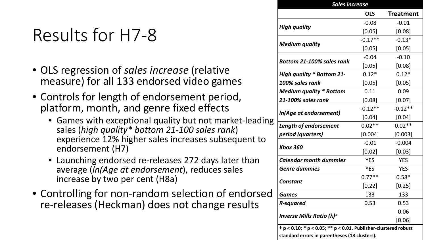## Results for H7-8

- OLS regression of *sales increase* (relative measure) for all 133 endorsed video games
- Controls for length of endorsement period, platform, month, and genre fixed effects
	- Games with exceptional quality but not market-leading sales (*high quality\* bottom 21-100 sales rank*) experience 12% higher sales increases subsequent to endorsement (H7)
	- Launching endorsed re-releases 272 days later than average (*ln(Age at endorsement*), reduces sales increase by two per cent (H8a)
- Controlling for non-random selection of endorsed re-releases (Heckman) does not change results

|                                                                | <b>Sales increase</b> |                  |  |  |
|----------------------------------------------------------------|-----------------------|------------------|--|--|
|                                                                | <b>OLS</b>            | <b>Treatment</b> |  |  |
|                                                                | $-0.08$               | $-0.01$          |  |  |
| <b>High quality</b>                                            | [0.05]                | [0.08]           |  |  |
|                                                                | $-0.17**$             | $-0.13*$         |  |  |
| <b>Medium quality</b>                                          | [0.05]                | [0.05]           |  |  |
| Bottom 21-100% sales rank                                      | $-0.04$               | $-0.10$          |  |  |
|                                                                | [0.05]                | [0.08]           |  |  |
| <b>High quality * Bottom 21-</b>                               | $0.12*$               | $0.12*$          |  |  |
| 100% sales rank                                                | [0.05]                | [0.05]           |  |  |
| <b>Medium quality * Bottom</b>                                 | 0.11                  | 0.09             |  |  |
| 21-100% sales rank                                             | [0.08]                | [0.07]           |  |  |
|                                                                | $-0.12**$             | $-0.12**$        |  |  |
| In(Age at endorsement)                                         | [0.04]                | [0.04]           |  |  |
| <b>Length of endorsement</b>                                   | $0.02**$              | $0.02**$         |  |  |
| period (quarters)                                              | [0.004]               | [0.003]          |  |  |
| <b>Xbox 360</b>                                                | $-0.01$               | $-0.004$         |  |  |
|                                                                | [0.02]                | [0.03]           |  |  |
| <b>Calendar month dummies</b>                                  | <b>YES</b>            | <b>YES</b>       |  |  |
| <b>Genre dummies</b>                                           | <b>YES</b>            | <b>YES</b>       |  |  |
| <b>Constant</b>                                                | $0.77**$              | $0.58*$          |  |  |
|                                                                | [0.22]                | [0.25]           |  |  |
| <b>Games</b>                                                   | 133                   | 133              |  |  |
| <b>R-squared</b>                                               | 0.53                  | 0.53             |  |  |
|                                                                |                       | 0.06             |  |  |
| <b>Inverse Mills Ratio (<math>\lambda</math>)</b> <sup>a</sup> |                       | [0.06]           |  |  |

**standard errors in parentheses (18 clusters).**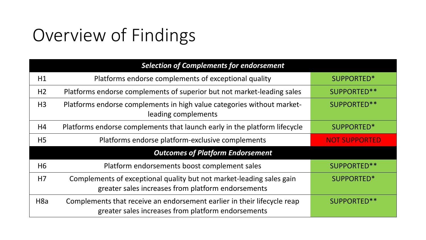# Overview of Findings

| <b>Selection of Complements for endorsement</b> |                                                                                                                               |                      |  |  |
|-------------------------------------------------|-------------------------------------------------------------------------------------------------------------------------------|----------------------|--|--|
| H1                                              | Platforms endorse complements of exceptional quality                                                                          | SUPPORTED*           |  |  |
| H <sub>2</sub>                                  | Platforms endorse complements of superior but not market-leading sales                                                        | SUPPORTED**          |  |  |
| H <sub>3</sub>                                  | Platforms endorse complements in high value categories without market-<br>leading complements                                 | SUPPORTED**          |  |  |
| H4                                              | Platforms endorse complements that launch early in the platform lifecycle                                                     | SUPPORTED*           |  |  |
| H <sub>5</sub>                                  | Platforms endorse platform-exclusive complements                                                                              | <b>NOT SUPPORTED</b> |  |  |
| <b>Outcomes of Platform Endorsement</b>         |                                                                                                                               |                      |  |  |
| H <sub>6</sub>                                  | Platform endorsements boost complement sales                                                                                  | SUPPORTED**          |  |  |
| H7                                              | Complements of exceptional quality but not market-leading sales gain<br>greater sales increases from platform endorsements    | SUPPORTED*           |  |  |
| H <sub>8</sub> a                                | Complements that receive an endorsement earlier in their lifecycle reap<br>greater sales increases from platform endorsements | SUPPORTED**          |  |  |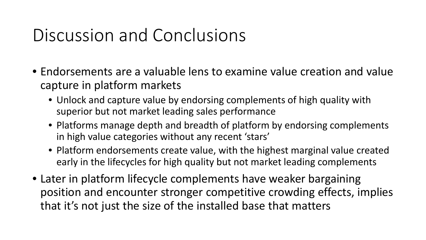### Discussion and Conclusions

- Endorsements are a valuable lens to examine value creation and value capture in platform markets
	- Unlock and capture value by endorsing complements of high quality with superior but not market leading sales performance
	- Platforms manage depth and breadth of platform by endorsing complements in high value categories without any recent 'stars'
	- Platform endorsements create value, with the highest marginal value created early in the lifecycles for high quality but not market leading complements
- Later in platform lifecycle complements have weaker bargaining position and encounter stronger competitive crowding effects, implies that it's not just the size of the installed base that matters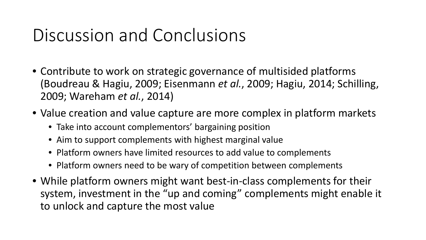### Discussion and Conclusions

- Contribute to work on strategic governance of multisided platforms (Boudreau & Hagiu, 2009; Eisenmann *et al.*, 2009; Hagiu, 2014; Schilling, 2009; Wareham *et al.*, 2014)
- Value creation and value capture are more complex in platform markets
	- Take into account complementors' bargaining position
	- Aim to support complements with highest marginal value
	- Platform owners have limited resources to add value to complements
	- Platform owners need to be wary of competition between complements
- While platform owners might want best-in-class complements for their system, investment in the "up and coming" complements might enable it to unlock and capture the most value